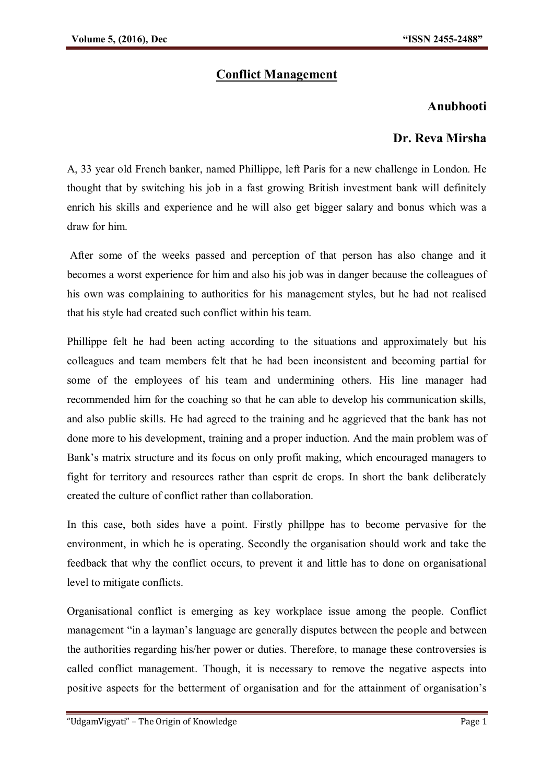## **Conflict Management**

## **Anubhooti**

## **Dr. Reva Mirsha**

A, 33 year old French banker, named Phillippe, left Paris for a new challenge in London. He thought that by switching his job in a fast growing British investment bank will definitely enrich his skills and experience and he will also get bigger salary and bonus which was a draw for him.

After some of the weeks passed and perception of that person has also change and it becomes a worst experience for him and also his job was in danger because the colleagues of his own was complaining to authorities for his management styles, but he had not realised that his style had created such conflict within his team.

Phillippe felt he had been acting according to the situations and approximately but his colleagues and team members felt that he had been inconsistent and becoming partial for some of the employees of his team and undermining others. His line manager had recommended him for the coaching so that he can able to develop his communication skills, and also public skills. He had agreed to the training and he aggrieved that the bank has not done more to his development, training and a proper induction. And the main problem was of Bank's matrix structure and its focus on only profit making, which encouraged managers to fight for territory and resources rather than esprit de crops. In short the bank deliberately created the culture of conflict rather than collaboration.

In this case, both sides have a point. Firstly phillppe has to become pervasive for the environment, in which he is operating. Secondly the organisation should work and take the feedback that why the conflict occurs, to prevent it and little has to done on organisational level to mitigate conflicts.

Organisational conflict is emerging as key workplace issue among the people. Conflict management "in a layman's language are generally disputes between the people and between the authorities regarding his/her power or duties. Therefore, to manage these controversies is called conflict management. Though, it is necessary to remove the negative aspects into positive aspects for the betterment of organisation and for the attainment of organisation's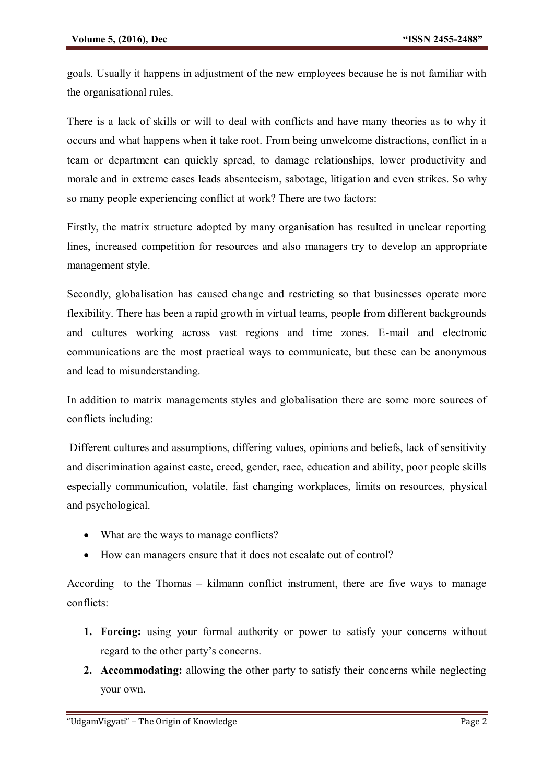goals. Usually it happens in adjustment of the new employees because he is not familiar with the organisational rules.

There is a lack of skills or will to deal with conflicts and have many theories as to why it occurs and what happens when it take root. From being unwelcome distractions, conflict in a team or department can quickly spread, to damage relationships, lower productivity and morale and in extreme cases leads absenteeism, sabotage, litigation and even strikes. So why so many people experiencing conflict at work? There are two factors:

Firstly, the matrix structure adopted by many organisation has resulted in unclear reporting lines, increased competition for resources and also managers try to develop an appropriate management style.

Secondly, globalisation has caused change and restricting so that businesses operate more flexibility. There has been a rapid growth in virtual teams, people from different backgrounds and cultures working across vast regions and time zones. E-mail and electronic communications are the most practical ways to communicate, but these can be anonymous and lead to misunderstanding.

In addition to matrix managements styles and globalisation there are some more sources of conflicts including:

Different cultures and assumptions, differing values, opinions and beliefs, lack of sensitivity and discrimination against caste, creed, gender, race, education and ability, poor people skills especially communication, volatile, fast changing workplaces, limits on resources, physical and psychological.

- What are the ways to manage conflicts?
- How can managers ensure that it does not escalate out of control?

According to the Thomas – kilmann conflict instrument, there are five ways to manage conflicts:

- **1. Forcing:** using your formal authority or power to satisfy your concerns without regard to the other party's concerns.
- **2. Accommodating:** allowing the other party to satisfy their concerns while neglecting your own.

<sup>&</sup>quot;UdgamVigyati" – The Origin of Knowledge Page 2